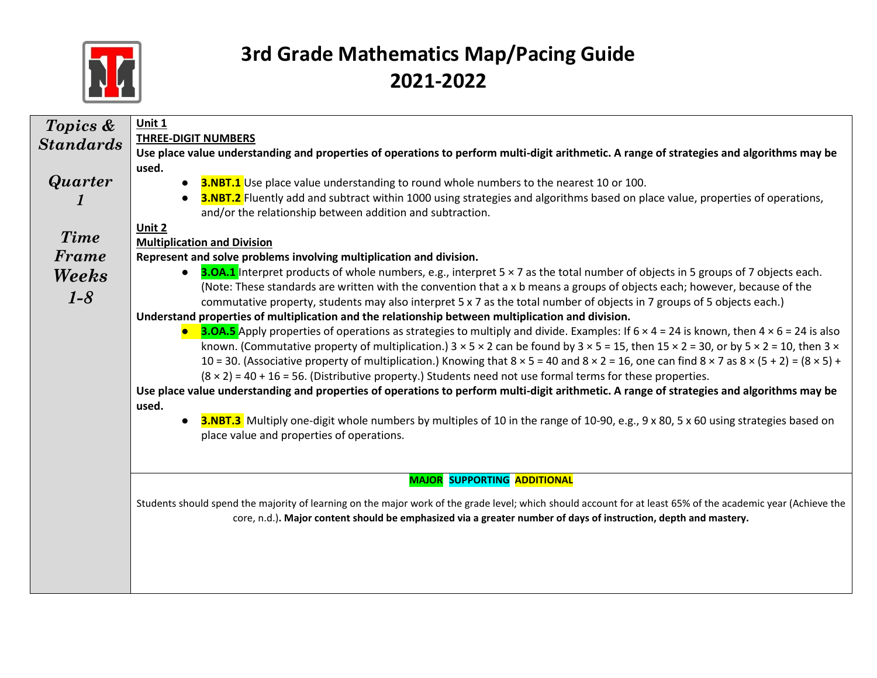

| Topics &         | Unit 1                                                                                                                                                                                            |
|------------------|---------------------------------------------------------------------------------------------------------------------------------------------------------------------------------------------------|
| <b>Standards</b> | <b>THREE-DIGIT NUMBERS</b>                                                                                                                                                                        |
|                  | Use place value understanding and properties of operations to perform multi-digit arithmetic. A range of strategies and algorithms may be                                                         |
|                  | used.                                                                                                                                                                                             |
| <b>Quarter</b>   | 3.NBT.1 Use place value understanding to round whole numbers to the nearest 10 or 100.                                                                                                            |
|                  | <b>3.NBT.2</b> Fluently add and subtract within 1000 using strategies and algorithms based on place value, properties of operations,<br>and/or the relationship between addition and subtraction. |
|                  | Unit 2                                                                                                                                                                                            |
| <b>Time</b>      | <b>Multiplication and Division</b>                                                                                                                                                                |
| Frame            | Represent and solve problems involving multiplication and division.                                                                                                                               |
| Weeks            | <b>3.0A.1</b> Interpret products of whole numbers, e.g., interpret 5 × 7 as the total number of objects in 5 groups of 7 objects each.                                                            |
|                  | (Note: These standards are written with the convention that a x b means a groups of objects each; however, because of the                                                                         |
| $1 - 8$          | commutative property, students may also interpret 5 x 7 as the total number of objects in 7 groups of 5 objects each.)                                                                            |
|                  | Understand properties of multiplication and the relationship between multiplication and division.                                                                                                 |
|                  | <b>3.OA.5</b> Apply properties of operations as strategies to multiply and divide. Examples: If $6 \times 4 = 24$ is known, then $4 \times 6 = 24$ is also                                        |
|                  | known. (Commutative property of multiplication.) $3 \times 5 \times 2$ can be found by $3 \times 5 = 15$ , then $15 \times 2 = 30$ , or by $5 \times 2 = 10$ , then $3 \times 2 = 10$             |
|                  | 10 = 30. (Associative property of multiplication.) Knowing that $8 \times 5 = 40$ and $8 \times 2 = 16$ , one can find $8 \times 7$ as $8 \times (5 + 2) = (8 \times 5) +$                        |
|                  | $(8 \times 2) = 40 + 16 = 56$ . (Distributive property.) Students need not use formal terms for these properties.                                                                                 |
|                  | Use place value understanding and properties of operations to perform multi-digit arithmetic. A range of strategies and algorithms may be                                                         |
|                  | used.                                                                                                                                                                                             |
|                  | <b>3.NBT.3</b> Multiply one-digit whole numbers by multiples of 10 in the range of 10-90, e.g., 9 x 80, 5 x 60 using strategies based on<br>$\bullet$                                             |
|                  | place value and properties of operations.                                                                                                                                                         |
|                  |                                                                                                                                                                                                   |
|                  | <b>MAJOR SUPPORTING ADDITIONAL</b>                                                                                                                                                                |
|                  | Students should spend the majority of learning on the major work of the grade level; which should account for at least 65% of the academic year (Achieve the                                      |
|                  | core, n.d.). Major content should be emphasized via a greater number of days of instruction, depth and mastery.                                                                                   |
|                  |                                                                                                                                                                                                   |
|                  |                                                                                                                                                                                                   |
|                  |                                                                                                                                                                                                   |
|                  |                                                                                                                                                                                                   |
|                  |                                                                                                                                                                                                   |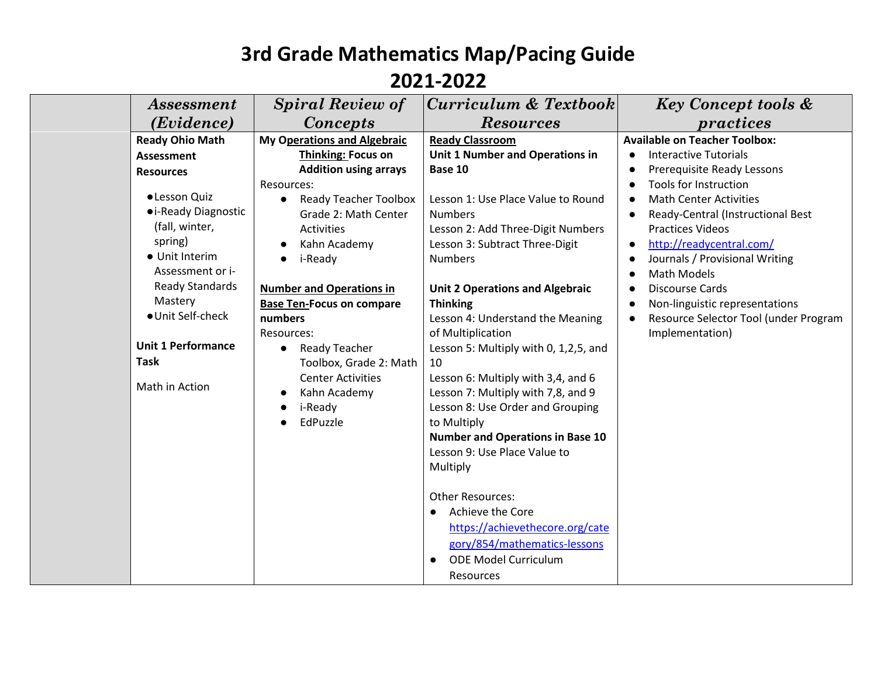| <i>Assessment</i>                                                                                                                                                           | <b>Spiral Review of</b>                                                                                                                                                                                                                         | $ Curriculum \& Textbook $                                                                                                                                                                                                                                                                                                                                                              | <b>Key Concept tools &amp;</b>                                                                                                                                                                                                                                                                                   |
|-----------------------------------------------------------------------------------------------------------------------------------------------------------------------------|-------------------------------------------------------------------------------------------------------------------------------------------------------------------------------------------------------------------------------------------------|-----------------------------------------------------------------------------------------------------------------------------------------------------------------------------------------------------------------------------------------------------------------------------------------------------------------------------------------------------------------------------------------|------------------------------------------------------------------------------------------------------------------------------------------------------------------------------------------------------------------------------------------------------------------------------------------------------------------|
| ( <i>Evidence</i> )                                                                                                                                                         | <b>Concepts</b>                                                                                                                                                                                                                                 | <b>Resources</b>                                                                                                                                                                                                                                                                                                                                                                        | practices                                                                                                                                                                                                                                                                                                        |
| <b>Ready Ohio Math</b><br><b>Assessment</b><br><b>Resources</b><br>• Lesson Quiz<br>• i-Ready Diagnostic<br>(fall, winter,<br>spring)<br>• Unit Interim<br>Assessment or i- | <b>My Operations and Algebraic</b><br><b>Thinking: Focus on</b><br><b>Addition using arrays</b><br>Resources:<br><b>Ready Teacher Toolbox</b><br>$\bullet$<br>Grade 2: Math Center<br><b>Activities</b><br>Kahn Academy<br>i-Ready<br>$\bullet$ | <b>Ready Classroom</b><br>Unit 1 Number and Operations in<br>Base 10<br>Lesson 1: Use Place Value to Round<br><b>Numbers</b><br>Lesson 2: Add Three-Digit Numbers<br>Lesson 3: Subtract Three-Digit<br><b>Numbers</b>                                                                                                                                                                   | <b>Available on Teacher Toolbox:</b><br><b>Interactive Tutorials</b><br>Prerequisite Ready Lessons<br>Tools for Instruction<br><b>Math Center Activities</b><br>Ready-Central (Instructional Best<br><b>Practices Videos</b><br>http://readycentral.com/<br>Journals / Provisional Writing<br><b>Math Models</b> |
| <b>Ready Standards</b><br>Mastery<br>· Unit Self-check<br><b>Unit 1 Performance</b><br><b>Task</b><br>Math in Action                                                        | <b>Number and Operations in</b><br><b>Base Ten-Focus on compare</b><br>numbers<br>Resources:<br>Ready Teacher<br>$\bullet$<br>Toolbox, Grade 2: Math<br><b>Center Activities</b><br>Kahn Academy<br>i-Ready<br>EdPuzzle                         | <b>Unit 2 Operations and Algebraic</b><br><b>Thinking</b><br>Lesson 4: Understand the Meaning<br>of Multiplication<br>Lesson 5: Multiply with 0, 1,2,5, and<br>10<br>Lesson 6: Multiply with 3,4, and 6<br>Lesson 7: Multiply with 7,8, and 9<br>Lesson 8: Use Order and Grouping<br>to Multiply<br><b>Number and Operations in Base 10</b><br>Lesson 9: Use Place Value to<br>Multiply | <b>Discourse Cards</b><br>Non-linguistic representations<br>Resource Selector Tool (under Program<br>Implementation)                                                                                                                                                                                             |
|                                                                                                                                                                             |                                                                                                                                                                                                                                                 | <b>Other Resources:</b><br>Achieve the Core<br>$\bullet$<br>https://achievethecore.org/cate<br>gory/854/mathematics-lessons<br><b>ODE Model Curriculum</b><br>Resources                                                                                                                                                                                                                 |                                                                                                                                                                                                                                                                                                                  |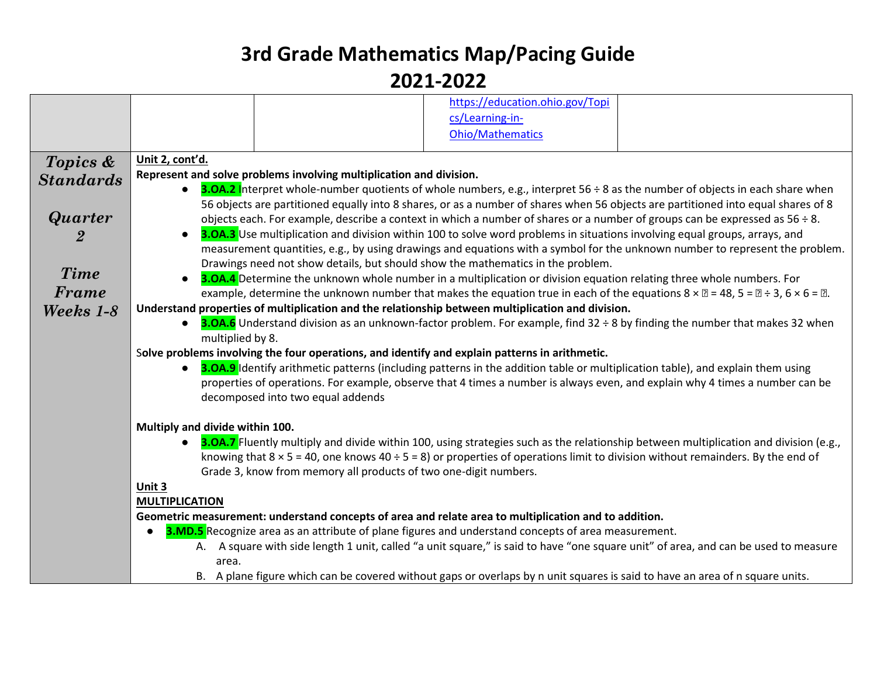|                  | https://education.ohio.gov/Topi<br>cs/Learning-in-<br><b>Ohio/Mathematics</b>                                                                                                                                                                                            |
|------------------|--------------------------------------------------------------------------------------------------------------------------------------------------------------------------------------------------------------------------------------------------------------------------|
|                  |                                                                                                                                                                                                                                                                          |
| Topics &         | Unit 2, cont'd.                                                                                                                                                                                                                                                          |
| <b>Standards</b> | Represent and solve problems involving multiplication and division.                                                                                                                                                                                                      |
|                  | <b>3.OA.2</b> Interpret whole-number quotients of whole numbers, e.g., interpret 56 ÷ 8 as the number of objects in each share when<br>56 objects are partitioned equally into 8 shares, or as a number of shares when 56 objects are partitioned into equal shares of 8 |
| <b>Quarter</b>   | objects each. For example, describe a context in which a number of shares or a number of groups can be expressed as $56 \div 8$ .                                                                                                                                        |
|                  | <b>3.0A.3</b> Use multiplication and division within 100 to solve word problems in situations involving equal groups, arrays, and<br>$\bullet$                                                                                                                           |
|                  | measurement quantities, e.g., by using drawings and equations with a symbol for the unknown number to represent the problem.                                                                                                                                             |
| Time             | Drawings need not show details, but should show the mathematics in the problem.                                                                                                                                                                                          |
|                  | 3.0A.4 Determine the unknown whole number in a multiplication or division equation relating three whole numbers. For                                                                                                                                                     |
| Frame            | example, determine the unknown number that makes the equation true in each of the equations $8 \times \mathbb{Z} = 48$ , $5 = \mathbb{Z} \div 3$ , $6 \times 6 = \mathbb{Z}$ .                                                                                           |
| Weeks 1-8        | Understand properties of multiplication and the relationship between multiplication and division.<br><b>3.OA.6</b> Understand division as an unknown-factor problem. For example, find 32 ÷ 8 by finding the number that makes 32 when                                   |
|                  | multiplied by 8.                                                                                                                                                                                                                                                         |
|                  | Solve problems involving the four operations, and identify and explain patterns in arithmetic.                                                                                                                                                                           |
|                  | 3.0A.9 Identify arithmetic patterns (including patterns in the addition table or multiplication table), and explain them using<br>$\bullet$                                                                                                                              |
|                  | properties of operations. For example, observe that 4 times a number is always even, and explain why 4 times a number can be                                                                                                                                             |
|                  | decomposed into two equal addends                                                                                                                                                                                                                                        |
|                  | Multiply and divide within 100.                                                                                                                                                                                                                                          |
|                  | <b>3.OA.7</b> Fluently multiply and divide within 100, using strategies such as the relationship between multiplication and division (e.g.,                                                                                                                              |
|                  | knowing that $8 \times 5 = 40$ , one knows $40 \div 5 = 8$ ) or properties of operations limit to division without remainders. By the end of                                                                                                                             |
|                  | Grade 3, know from memory all products of two one-digit numbers.                                                                                                                                                                                                         |
|                  | Unit 3                                                                                                                                                                                                                                                                   |
|                  | <b>MULTIPLICATION</b>                                                                                                                                                                                                                                                    |
|                  | Geometric measurement: understand concepts of area and relate area to multiplication and to addition.                                                                                                                                                                    |
|                  | <b>3.MD.5</b> Recognize area as an attribute of plane figures and understand concepts of area measurement.<br>A. A square with side length 1 unit, called "a unit square," is said to have "one square unit" of area, and can be used to measure                         |
|                  | area.                                                                                                                                                                                                                                                                    |
|                  | B. A plane figure which can be covered without gaps or overlaps by n unit squares is said to have an area of n square units.                                                                                                                                             |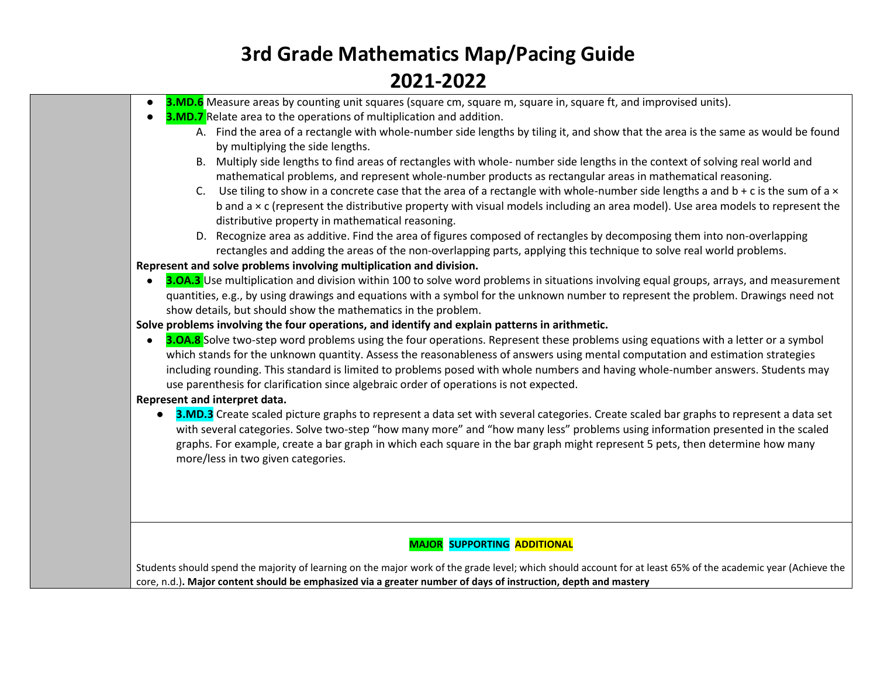- **3.MD.6** Measure areas by counting unit squares (square cm, square m, square in, square ft, and improvised units).
- **3.MD.7** Relate area to the operations of multiplication and addition.
	- A. Find the area of a rectangle with whole-number side lengths by tiling it, and show that the area is the same as would be found by multiplying the side lengths.
	- B. Multiply side lengths to find areas of rectangles with whole- number side lengths in the context of solving real world and mathematical problems, and represent whole-number products as rectangular areas in mathematical reasoning.
	- C. Use tiling to show in a concrete case that the area of a rectangle with whole-number side lengths a and  $b + c$  is the sum of a  $\times$ b and a × c (represent the distributive property with visual models including an area model). Use area models to represent the distributive property in mathematical reasoning.
	- D. Recognize area as additive. Find the area of figures composed of rectangles by decomposing them into non-overlapping rectangles and adding the areas of the non-overlapping parts, applying this technique to solve real world problems.

**Represent and solve problems involving multiplication and division.**

● **3.OA.3** Use multiplication and division within 100 to solve word problems in situations involving equal groups, arrays, and measurement quantities, e.g., by using drawings and equations with a symbol for the unknown number to represent the problem. Drawings need not show details, but should show the mathematics in the problem.

**Solve problems involving the four operations, and identify and explain patterns in arithmetic.**

**• 3.OA.8** Solve two-step word problems using the four operations. Represent these problems using equations with a letter or a symbol which stands for the unknown quantity. Assess the reasonableness of answers using mental computation and estimation strategies including rounding. This standard is limited to problems posed with whole numbers and having whole-number answers. Students may use parenthesis for clarification since algebraic order of operations is not expected.

#### **Represent and interpret data.**

● **3.MD.3** Create scaled picture graphs to represent a data set with several categories. Create scaled bar graphs to represent a data set with several categories. Solve two-step "how many more" and "how many less" problems using information presented in the scaled graphs. For example, create a bar graph in which each square in the bar graph might represent 5 pets, then determine how many more/less in two given categories.

#### **MAJOR SUPPORTING ADDITIONAL**

Students should spend the majority of learning on the major work of the grade level; which should account for at least 65% of the academic year (Achieve the core, n.d.)**. Major content should be emphasized via a greater number of days of instruction, depth and mastery**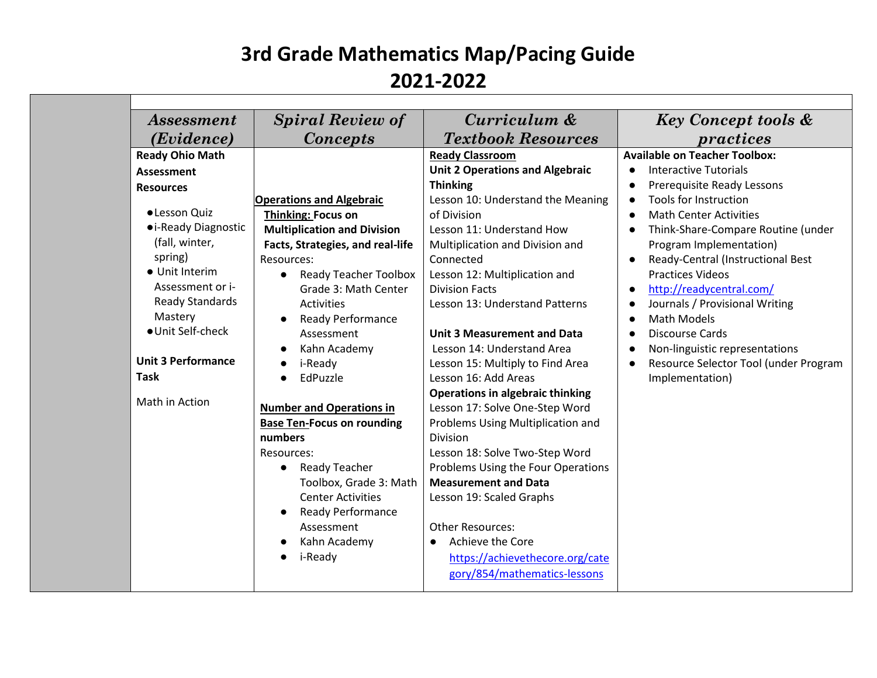| <i>Assessment</i>         | <b>Spiral Review of</b>                   | Curriculum &                            | <b>Key Concept tools &amp;</b>                 |
|---------------------------|-------------------------------------------|-----------------------------------------|------------------------------------------------|
| (Evidence)                | <b>Concepts</b>                           | <b>Textbook Resources</b>               | practices                                      |
| <b>Ready Ohio Math</b>    |                                           | <b>Ready Classroom</b>                  | <b>Available on Teacher Toolbox:</b>           |
| <b>Assessment</b>         |                                           | <b>Unit 2 Operations and Algebraic</b>  | <b>Interactive Tutorials</b><br>$\bullet$      |
| <b>Resources</b>          |                                           | <b>Thinking</b>                         | Prerequisite Ready Lessons                     |
|                           | <b>Operations and Algebraic</b>           | Lesson 10: Understand the Meaning       | Tools for Instruction<br>$\bullet$             |
| ·Lesson Quiz              | <b>Thinking: Focus on</b>                 | of Division                             | <b>Math Center Activities</b><br>$\bullet$     |
| • i-Ready Diagnostic      | <b>Multiplication and Division</b>        | Lesson 11: Understand How               | Think-Share-Compare Routine (under             |
| (fall, winter,            | Facts, Strategies, and real-life          | Multiplication and Division and         | Program Implementation)                        |
| spring)                   | Resources:                                | Connected                               | Ready-Central (Instructional Best<br>$\bullet$ |
| • Unit Interim            | <b>Ready Teacher Toolbox</b><br>$\bullet$ | Lesson 12: Multiplication and           | <b>Practices Videos</b>                        |
| Assessment or i-          | Grade 3: Math Center                      | <b>Division Facts</b>                   | http://readycentral.com/<br>$\bullet$          |
| <b>Ready Standards</b>    | <b>Activities</b>                         | Lesson 13: Understand Patterns          | Journals / Provisional Writing                 |
| Mastery                   | <b>Ready Performance</b>                  |                                         | <b>Math Models</b>                             |
| ● Unit Self-check         | Assessment                                | <b>Unit 3 Measurement and Data</b>      | <b>Discourse Cards</b><br>$\bullet$            |
|                           | Kahn Academy                              | Lesson 14: Understand Area              | Non-linguistic representations                 |
| <b>Unit 3 Performance</b> | i-Ready                                   | Lesson 15: Multiply to Find Area        | Resource Selector Tool (under Program          |
| <b>Task</b>               | EdPuzzle                                  | Lesson 16: Add Areas                    | Implementation)                                |
|                           |                                           | <b>Operations in algebraic thinking</b> |                                                |
| Math in Action            | <b>Number and Operations in</b>           | Lesson 17: Solve One-Step Word          |                                                |
|                           | <b>Base Ten-Focus on rounding</b>         | Problems Using Multiplication and       |                                                |
|                           | numbers                                   | <b>Division</b>                         |                                                |
|                           | Resources:                                | Lesson 18: Solve Two-Step Word          |                                                |
|                           | <b>Ready Teacher</b><br>$\bullet$         | Problems Using the Four Operations      |                                                |
|                           | Toolbox, Grade 3: Math                    | <b>Measurement and Data</b>             |                                                |
|                           | <b>Center Activities</b>                  | Lesson 19: Scaled Graphs                |                                                |
|                           | <b>Ready Performance</b>                  |                                         |                                                |
|                           | Assessment                                | <b>Other Resources:</b>                 |                                                |
|                           | Kahn Academy                              | Achieve the Core<br>$\bullet$           |                                                |
|                           | i-Ready                                   | https://achievethecore.org/cate         |                                                |
|                           |                                           | gory/854/mathematics-lessons            |                                                |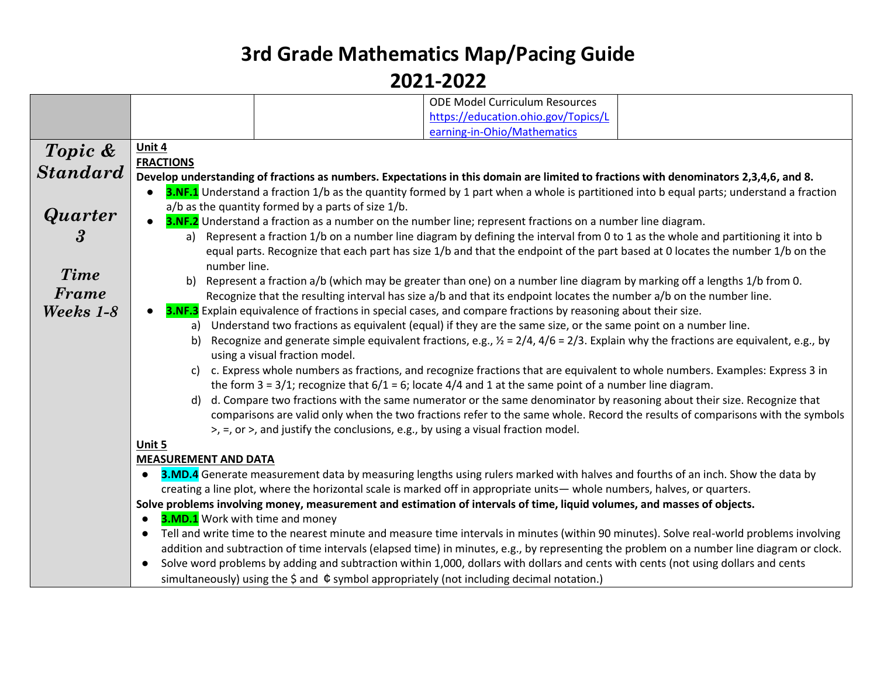|                | <b>ODE Model Curriculum Resources</b>                                                                                                                 |
|----------------|-------------------------------------------------------------------------------------------------------------------------------------------------------|
|                | https://education.ohio.gov/Topics/L                                                                                                                   |
|                | earning-in-Ohio/Mathematics                                                                                                                           |
| Topic &        | Unit 4                                                                                                                                                |
|                | <b>FRACTIONS</b>                                                                                                                                      |
| Standard       | Develop understanding of fractions as numbers. Expectations in this domain are limited to fractions with denominators 2,3,4,6, and 8.                 |
|                | 3.NF.1 Understand a fraction 1/b as the quantity formed by 1 part when a whole is partitioned into b equal parts; understand a fraction               |
|                | a/b as the quantity formed by a parts of size 1/b.                                                                                                    |
| <b>Quarter</b> | <b>3.NF.2</b> Understand a fraction as a number on the number line; represent fractions on a number line diagram.                                     |
| 3              | Represent a fraction 1/b on a number line diagram by defining the interval from 0 to 1 as the whole and partitioning it into b<br>a)                  |
|                | equal parts. Recognize that each part has size 1/b and that the endpoint of the part based at 0 locates the number 1/b on the                         |
|                | number line.                                                                                                                                          |
| <b>Time</b>    | Represent a fraction a/b (which may be greater than one) on a number line diagram by marking off a lengths 1/b from 0.<br>b)                          |
| Frame          | Recognize that the resulting interval has size a/b and that its endpoint locates the number a/b on the number line.                                   |
| Weeks 1-8      | 3.NF.3 Explain equivalence of fractions in special cases, and compare fractions by reasoning about their size.                                        |
|                | Understand two fractions as equivalent (equal) if they are the same size, or the same point on a number line.<br>a)                                   |
|                | Recognize and generate simple equivalent fractions, e.g., $\frac{1}{2}$ = 2/4, 4/6 = 2/3. Explain why the fractions are equivalent, e.g., by<br>b)    |
|                | using a visual fraction model.                                                                                                                        |
|                | c. Express whole numbers as fractions, and recognize fractions that are equivalent to whole numbers. Examples: Express 3 in<br>C)                     |
|                | the form $3 = 3/1$ ; recognize that $6/1 = 6$ ; locate $4/4$ and 1 at the same point of a number line diagram.                                        |
|                | d. Compare two fractions with the same numerator or the same denominator by reasoning about their size. Recognize that<br>d)                          |
|                | comparisons are valid only when the two fractions refer to the same whole. Record the results of comparisons with the symbols                         |
|                | $>$ , =, or >, and justify the conclusions, e.g., by using a visual fraction model.                                                                   |
|                | Unit 5                                                                                                                                                |
|                | <b>MEASUREMENT AND DATA</b>                                                                                                                           |
|                | 3.MD.4 Generate measurement data by measuring lengths using rulers marked with halves and fourths of an inch. Show the data by                        |
|                | creating a line plot, where the horizontal scale is marked off in appropriate units—whole numbers, halves, or quarters.                               |
|                | Solve problems involving money, measurement and estimation of intervals of time, liquid volumes, and masses of objects.                               |
|                | <b>3.MD.1</b> Work with time and money<br>$\bullet$                                                                                                   |
|                | Tell and write time to the nearest minute and measure time intervals in minutes (within 90 minutes). Solve real-world problems involving<br>$\bullet$ |
|                | addition and subtraction of time intervals (elapsed time) in minutes, e.g., by representing the problem on a number line diagram or clock.            |
|                | Solve word problems by adding and subtraction within 1,000, dollars with dollars and cents with cents (not using dollars and cents<br>$\bullet$       |
|                | simultaneously) using the $\frac{1}{2}$ and $\frac{1}{2}$ symbol appropriately (not including decimal notation.)                                      |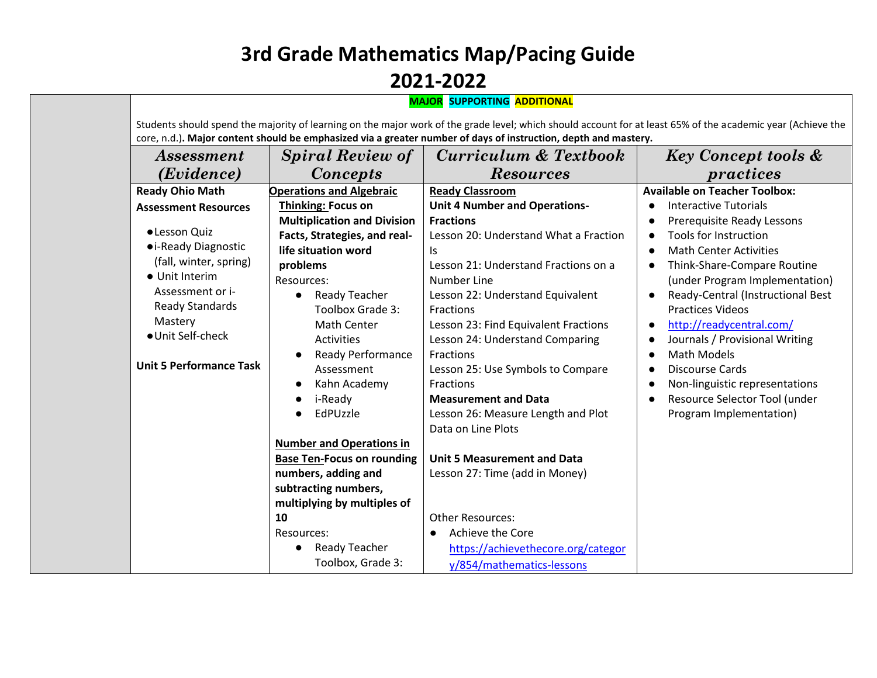| <i>Assessment</i>              | <b>Spiral Review of</b>               | Curriculum & Textbook                 | <b>Key Concept tools &amp;</b>                 |
|--------------------------------|---------------------------------------|---------------------------------------|------------------------------------------------|
| (Evidence)                     | <b>Concepts</b>                       | <b>Resources</b>                      | practices                                      |
| <b>Ready Ohio Math</b>         | <b>Operations and Algebraic</b>       | <b>Ready Classroom</b>                | <b>Available on Teacher Toolbox:</b>           |
| <b>Assessment Resources</b>    | <b>Thinking: Focus on</b>             | <b>Unit 4 Number and Operations-</b>  | <b>Interactive Tutorials</b>                   |
|                                | <b>Multiplication and Division</b>    | <b>Fractions</b>                      | Prerequisite Ready Lessons<br>$\bullet$        |
| · Lesson Quiz                  | Facts, Strategies, and real-          | Lesson 20: Understand What a Fraction | Tools for Instruction<br>$\bullet$             |
| • i-Ready Diagnostic           | life situation word                   | ls.                                   | <b>Math Center Activities</b><br>$\bullet$     |
| (fall, winter, spring)         | problems                              | Lesson 21: Understand Fractions on a  | Think-Share-Compare Routine                    |
| • Unit Interim                 | Resources:                            | Number Line                           | (under Program Implementation)                 |
| Assessment or i-               | <b>Ready Teacher</b>                  | Lesson 22: Understand Equivalent      | Ready-Central (Instructional Best<br>$\bullet$ |
| <b>Ready Standards</b>         | Toolbox Grade 3:                      | Fractions                             | <b>Practices Videos</b>                        |
| Mastery                        | <b>Math Center</b>                    | Lesson 23: Find Equivalent Fractions  | http://readycentral.com/<br>$\bullet$          |
| · Unit Self-check              | <b>Activities</b>                     | Lesson 24: Understand Comparing       | Journals / Provisional Writing<br>$\bullet$    |
|                                | <b>Ready Performance</b><br>$\bullet$ | Fractions                             | <b>Math Models</b><br>$\bullet$                |
| <b>Unit 5 Performance Task</b> | Assessment                            | Lesson 25: Use Symbols to Compare     | <b>Discourse Cards</b><br>$\bullet$            |
|                                | Kahn Academy                          | Fractions                             | Non-linguistic representations<br>$\bullet$    |
|                                | i-Ready                               | <b>Measurement and Data</b>           | Resource Selector Tool (under<br>$\bullet$     |
|                                | EdPUzzle                              | Lesson 26: Measure Length and Plot    | Program Implementation)                        |
|                                |                                       | Data on Line Plots                    |                                                |
|                                | <b>Number and Operations in</b>       |                                       |                                                |
|                                | <b>Base Ten-Focus on rounding</b>     | <b>Unit 5 Measurement and Data</b>    |                                                |
|                                | numbers, adding and                   | Lesson 27: Time (add in Money)        |                                                |
|                                | subtracting numbers,                  |                                       |                                                |
|                                | multiplying by multiples of           |                                       |                                                |
|                                | 10                                    | <b>Other Resources:</b>               |                                                |
|                                | Resources:                            | Achieve the Core                      |                                                |
|                                | <b>Ready Teacher</b>                  | https://achievethecore.org/categor    |                                                |
|                                | Toolbox, Grade 3:                     | y/854/mathematics-lessons             |                                                |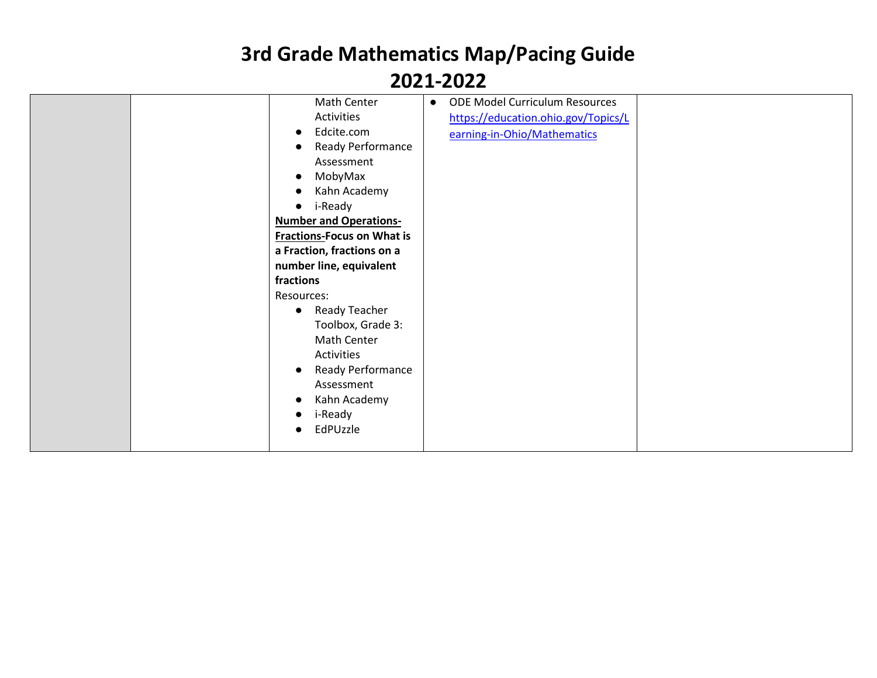| Math Center<br>Activities<br>Edcite.com<br>Assessment<br>MobyMax<br>Kahn Academy<br>i-Ready<br>$\bullet$<br><b>Number and Operations-</b><br><b>Fractions-Focus on What is</b><br>a Fraction, fractions on a<br>number line, equivalent<br>fractions<br>Resources:<br>Ready Teacher<br>$\bullet$<br>Math Center<br>Activities | <b>ODE Model Curriculum Resources</b><br>$\bullet$<br>https://education.ohio.gov/Topics/L<br>earning-in-Ohio/Mathematics<br>Ready Performance<br>Toolbox, Grade 3: |
|-------------------------------------------------------------------------------------------------------------------------------------------------------------------------------------------------------------------------------------------------------------------------------------------------------------------------------|--------------------------------------------------------------------------------------------------------------------------------------------------------------------|
| $\bullet$<br>Assessment<br>Kahn Academy<br>i-Ready<br>EdPUzzle                                                                                                                                                                                                                                                                | Ready Performance                                                                                                                                                  |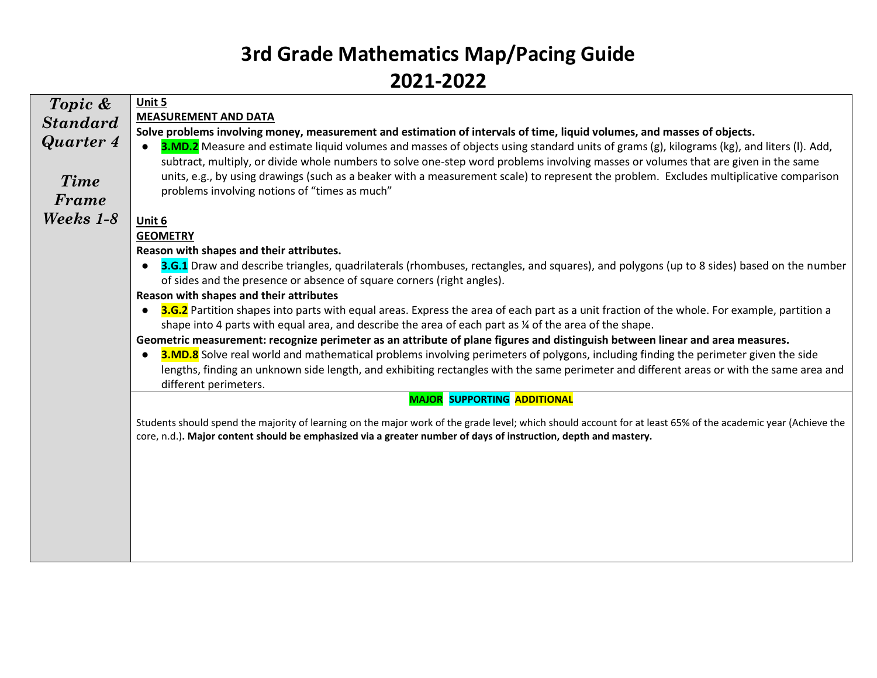| Topic &          | Unit 5                                                                                                                                                                                                                                                                     |
|------------------|----------------------------------------------------------------------------------------------------------------------------------------------------------------------------------------------------------------------------------------------------------------------------|
| <b>Standard</b>  | <b>MEASUREMENT AND DATA</b>                                                                                                                                                                                                                                                |
| <b>Quarter 4</b> | Solve problems involving money, measurement and estimation of intervals of time, liquid volumes, and masses of objects.                                                                                                                                                    |
|                  | 3.MD.2 Measure and estimate liquid volumes and masses of objects using standard units of grams (g), kilograms (kg), and liters (I). Add,                                                                                                                                   |
|                  | subtract, multiply, or divide whole numbers to solve one-step word problems involving masses or volumes that are given in the same                                                                                                                                         |
| <b>Time</b>      | units, e.g., by using drawings (such as a beaker with a measurement scale) to represent the problem. Excludes multiplicative comparison                                                                                                                                    |
| Frame            | problems involving notions of "times as much"                                                                                                                                                                                                                              |
| Weeks 1-8        | Unit 6                                                                                                                                                                                                                                                                     |
|                  | <b>GEOMETRY</b>                                                                                                                                                                                                                                                            |
|                  | Reason with shapes and their attributes.                                                                                                                                                                                                                                   |
|                  | <b>3.G.1</b> Draw and describe triangles, quadrilaterals (rhombuses, rectangles, and squares), and polygons (up to 8 sides) based on the number<br>$\bullet$                                                                                                               |
|                  | of sides and the presence or absence of square corners (right angles).                                                                                                                                                                                                     |
|                  | Reason with shapes and their attributes                                                                                                                                                                                                                                    |
|                  | 3.G.2 Partition shapes into parts with equal areas. Express the area of each part as a unit fraction of the whole. For example, partition a                                                                                                                                |
|                  | shape into 4 parts with equal area, and describe the area of each part as ¼ of the area of the shape.                                                                                                                                                                      |
|                  | Geometric measurement: recognize perimeter as an attribute of plane figures and distinguish between linear and area measures.<br><b>3.MD.8</b> Solve real world and mathematical problems involving perimeters of polygons, including finding the perimeter given the side |
|                  | lengths, finding an unknown side length, and exhibiting rectangles with the same perimeter and different areas or with the same area and                                                                                                                                   |
|                  | different perimeters.                                                                                                                                                                                                                                                      |
|                  | <b>MAJOR SUPPORTING ADDITIONAL</b>                                                                                                                                                                                                                                         |
|                  |                                                                                                                                                                                                                                                                            |
|                  | Students should spend the majority of learning on the major work of the grade level; which should account for at least 65% of the academic year (Achieve the                                                                                                               |
|                  | core, n.d.). Major content should be emphasized via a greater number of days of instruction, depth and mastery.                                                                                                                                                            |
|                  |                                                                                                                                                                                                                                                                            |
|                  |                                                                                                                                                                                                                                                                            |
|                  |                                                                                                                                                                                                                                                                            |
|                  |                                                                                                                                                                                                                                                                            |
|                  |                                                                                                                                                                                                                                                                            |
|                  |                                                                                                                                                                                                                                                                            |
|                  |                                                                                                                                                                                                                                                                            |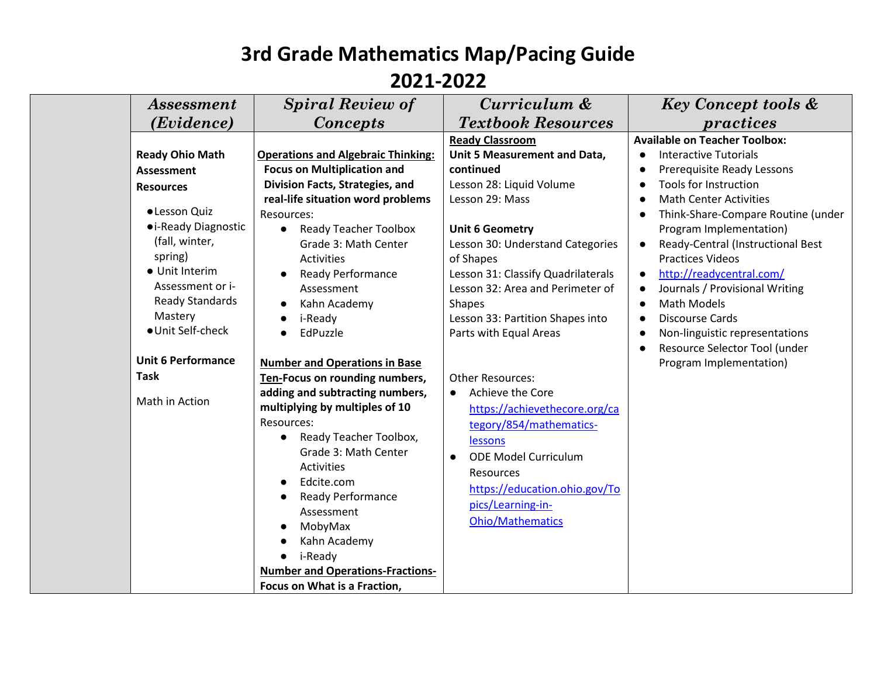|                                       | <i>Assessment</i>                                                                                   | <b>Spiral Review of</b>                                                                                                                                                                                                                                                                                                                      | Curriculum &                                                                                                                                                                                                                             | <b>Key Concept tools &amp;</b>                                                                                                                                                                                                                                          |
|---------------------------------------|-----------------------------------------------------------------------------------------------------|----------------------------------------------------------------------------------------------------------------------------------------------------------------------------------------------------------------------------------------------------------------------------------------------------------------------------------------------|------------------------------------------------------------------------------------------------------------------------------------------------------------------------------------------------------------------------------------------|-------------------------------------------------------------------------------------------------------------------------------------------------------------------------------------------------------------------------------------------------------------------------|
|                                       | ( <i>Evidence</i> )                                                                                 | <b>Concepts</b>                                                                                                                                                                                                                                                                                                                              | <b>Textbook Resources</b>                                                                                                                                                                                                                | practices                                                                                                                                                                                                                                                               |
| <b>Assessment</b><br><b>Resources</b> | <b>Ready Ohio Math</b><br>·Lesson Quiz<br>• i-Ready Diagnostic                                      | <b>Operations and Algebraic Thinking:</b><br><b>Focus on Multiplication and</b><br>Division Facts, Strategies, and<br>real-life situation word problems<br>Resources:<br><b>Ready Teacher Toolbox</b><br>$\bullet$                                                                                                                           | <b>Ready Classroom</b><br>Unit 5 Measurement and Data,<br>continued<br>Lesson 28: Liquid Volume<br>Lesson 29: Mass<br><b>Unit 6 Geometry</b>                                                                                             | <b>Available on Teacher Toolbox:</b><br>Interactive Tutorials<br>Prerequisite Ready Lessons<br>Tools for Instruction<br><b>Math Center Activities</b><br>Think-Share-Compare Routine (under<br>Program Implementation)                                                  |
| spring)<br>Mastery                    | (fall, winter,<br>• Unit Interim<br>Assessment or i-<br><b>Ready Standards</b><br>· Unit Self-check | Grade 3: Math Center<br><b>Activities</b><br><b>Ready Performance</b><br>Assessment<br>Kahn Academy<br>i-Ready<br>EdPuzzle<br>$\bullet$                                                                                                                                                                                                      | Lesson 30: Understand Categories<br>of Shapes<br>Lesson 31: Classify Quadrilaterals<br>Lesson 32: Area and Perimeter of<br><b>Shapes</b><br>Lesson 33: Partition Shapes into<br>Parts with Equal Areas                                   | Ready-Central (Instructional Best<br><b>Practices Videos</b><br>http://readycentral.com/<br>$\bullet$<br>Journals / Provisional Writing<br><b>Math Models</b><br><b>Discourse Cards</b><br>$\bullet$<br>Non-linguistic representations<br>Resource Selector Tool (under |
|                                       | <b>Unit 6 Performance</b>                                                                           | <b>Number and Operations in Base</b>                                                                                                                                                                                                                                                                                                         |                                                                                                                                                                                                                                          | Program Implementation)                                                                                                                                                                                                                                                 |
| <b>Task</b>                           |                                                                                                     | Ten-Focus on rounding numbers,                                                                                                                                                                                                                                                                                                               | <b>Other Resources:</b>                                                                                                                                                                                                                  |                                                                                                                                                                                                                                                                         |
| Math in Action                        |                                                                                                     | adding and subtracting numbers,<br>multiplying by multiples of 10<br>Resources:<br>Ready Teacher Toolbox,<br>$\bullet$<br>Grade 3: Math Center<br><b>Activities</b><br>Edcite.com<br><b>Ready Performance</b><br>Assessment<br>MobyMax<br>Kahn Academy<br>i-Ready<br><b>Number and Operations-Fractions-</b><br>Focus on What is a Fraction, | Achieve the Core<br>$\bullet$<br>https://achievethecore.org/ca<br>tegory/854/mathematics-<br>lessons<br><b>ODE Model Curriculum</b><br><b>Resources</b><br>https://education.ohio.gov/To<br>pics/Learning-in-<br><b>Ohio/Mathematics</b> |                                                                                                                                                                                                                                                                         |